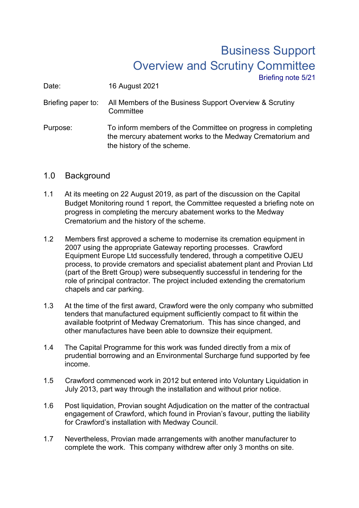## Business Support Overview and Scrutiny Committee Briefing note 5/21

Date: 16 August 2021

Briefing paper to: All Members of the Business Support Overview & Scrutiny **Committee** 

Purpose: To inform members of the Committee on progress in completing the mercury abatement works to the Medway Crematorium and the history of the scheme.

## 1.0 Background

- 1.1 At its meeting on 22 August 2019, as part of the discussion on the Capital Budget Monitoring round 1 report, the Committee requested a briefing note on progress in completing the mercury abatement works to the Medway Crematorium and the history of the scheme.
- 1.2 Members first approved a scheme to modernise its cremation equipment in 2007 using the appropriate Gateway reporting processes. Crawford Equipment Europe Ltd successfully tendered, through a competitive OJEU process, to provide cremators and specialist abatement plant and Provian Ltd (part of the Brett Group) were subsequently successful in tendering for the role of principal contractor. The project included extending the crematorium chapels and car parking.
- 1.3 At the time of the first award, Crawford were the only company who submitted tenders that manufactured equipment sufficiently compact to fit within the available footprint of Medway Crematorium. This has since changed, and other manufactures have been able to downsize their equipment.
- 1.4 The Capital Programme for this work was funded directly from a mix of prudential borrowing and an Environmental Surcharge fund supported by fee income.
- 1.5 Crawford commenced work in 2012 but entered into Voluntary Liquidation in July 2013, part way through the installation and without prior notice.
- 1.6 Post liquidation, Provian sought Adjudication on the matter of the contractual engagement of Crawford, which found in Provian's favour, putting the liability for Crawford's installation with Medway Council.
- 1.7 Nevertheless, Provian made arrangements with another manufacturer to complete the work. This company withdrew after only 3 months on site.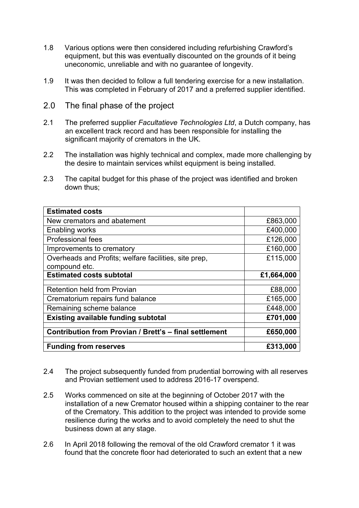- 1.8 Various options were then considered including refurbishing Crawford's equipment, but this was eventually discounted on the grounds of it being uneconomic, unreliable and with no guarantee of longevity.
- 1.9 It was then decided to follow a full tendering exercise for a new installation. This was completed in February of 2017 and a preferred supplier identified.
- 2.0 The final phase of the project
- 2.1 The preferred supplier *Facultatieve Technologies Ltd*, a Dutch company, has an excellent track record and has been responsible for installing the significant majority of cremators in the UK.
- 2.2 The installation was highly technical and complex, made more challenging by the desire to maintain services whilst equipment is being installed.
- 2.3 The capital budget for this phase of the project was identified and broken down thus;

| <b>Estimated costs</b>                                 |            |
|--------------------------------------------------------|------------|
| New cremators and abatement                            | £863,000   |
| Enabling works                                         | £400,000   |
| <b>Professional fees</b>                               | £126,000   |
| Improvements to crematory                              | £160,000   |
| Overheads and Profits; welfare facilities, site prep,  | £115,000   |
| compound etc.                                          |            |
| <b>Estimated costs subtotal</b>                        | £1,664,000 |
|                                                        |            |
| <b>Retention held from Provian</b>                     | £88,000    |
| Crematorium repairs fund balance                       | £165,000   |
| Remaining scheme balance                               | £448,000   |
| <b>Existing available funding subtotal</b>             | £701,000   |
|                                                        |            |
| Contribution from Provian / Brett's - final settlement | £650,000   |
|                                                        |            |
| <b>Funding from reserves</b>                           | £313,000   |

- 2.4 The project subsequently funded from prudential borrowing with all reserves and Provian settlement used to address 2016-17 overspend.
- 2.5 Works commenced on site at the beginning of October 2017 with the installation of a new Cremator housed within a shipping container to the rear of the Crematory. This addition to the project was intended to provide some resilience during the works and to avoid completely the need to shut the business down at any stage.
- 2.6 In April 2018 following the removal of the old Crawford cremator 1 it was found that the concrete floor had deteriorated to such an extent that a new